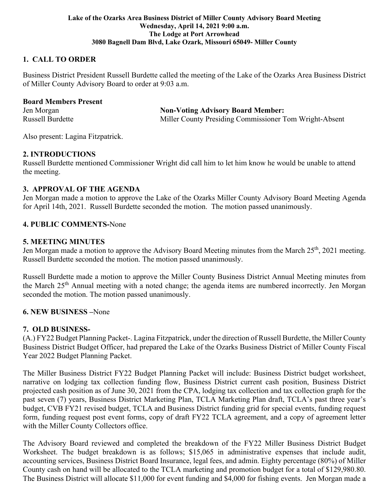#### **Lake of the Ozarks Area Business District of Miller County Advisory Board Meeting Wednesday, April 14, 2021 9:00 a.m. The Lodge at Port Arrowhead 3080 Bagnell Dam Blvd, Lake Ozark, Missouri 65049- Miller County**

# **1. CALL TO ORDER**

Business District President Russell Burdette called the meeting of the Lake of the Ozarks Area Business District of Miller County Advisory Board to order at 9:03 a.m.

#### **Board Members Present**

Jen Morgan **Non-Voting Advisory Board Member:** Russell Burdette Miller County Presiding Commissioner Tom Wright-Absent

Also present: Lagina Fitzpatrick.

### **2. INTRODUCTIONS**

Russell Burdette mentioned Commissioner Wright did call him to let him know he would be unable to attend the meeting.

### **3. APPROVAL OF THE AGENDA**

Jen Morgan made a motion to approve the Lake of the Ozarks Miller County Advisory Board Meeting Agenda for April 14th, 2021. Russell Burdette seconded the motion. The motion passed unanimously.

### **4. PUBLIC COMMENTS-**None

### **5. MEETING MINUTES**

Jen Morgan made a motion to approve the Advisory Board Meeting minutes from the March 25<sup>th</sup>, 2021 meeting. Russell Burdette seconded the motion. The motion passed unanimously.

Russell Burdette made a motion to approve the Miller County Business District Annual Meeting minutes from the March 25th Annual meeting with a noted change; the agenda items are numbered incorrectly. Jen Morgan seconded the motion. The motion passed unanimously.

#### **6. NEW BUSINESS –**None

## **7. OLD BUSINESS-**

(A.) FY22 Budget Planning Packet-. Lagina Fitzpatrick, under the direction of Russell Burdette, the Miller County Business District Budget Officer, had prepared the Lake of the Ozarks Business District of Miller County Fiscal Year 2022 Budget Planning Packet.

The Miller Business District FY22 Budget Planning Packet will include: Business District budget worksheet, narrative on lodging tax collection funding flow, Business District current cash position, Business District projected cash position as of June 30, 2021 from the CPA, lodging tax collection and tax collection graph for the past seven (7) years, Business District Marketing Plan, TCLA Marketing Plan draft, TCLA's past three year's budget, CVB FY21 revised budget, TCLA and Business District funding grid for special events, funding request form, funding request post event forms, copy of draft FY22 TCLA agreement, and a copy of agreement letter with the Miller County Collectors office.

The Advisory Board reviewed and completed the breakdown of the FY22 Miller Business District Budget Worksheet. The budget breakdown is as follows; \$15,065 in administrative expenses that include audit, accounting services, Business District Board Insurance, legal fees, and admin. Eighty percentage (80%) of Miller County cash on hand will be allocated to the TCLA marketing and promotion budget for a total of \$129,980.80. The Business District will allocate \$11,000 for event funding and \$4,000 for fishing events. Jen Morgan made a